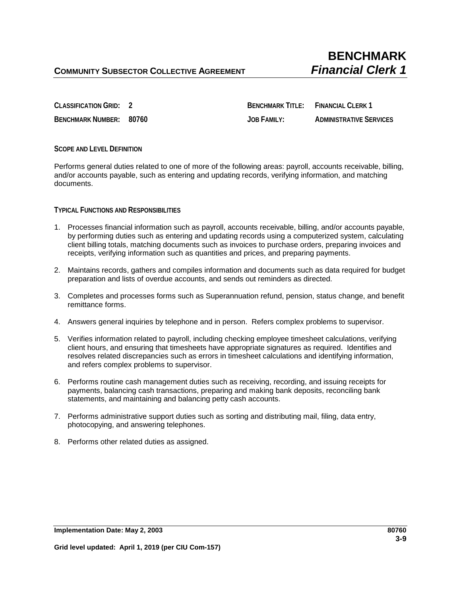**CLASSIFICATION GRID: 2 BENCHMARK TITLE: FINANCIAL CLERK 1 BENCHMARK NUMBER: 80760 JOB FAMILY: ADMINISTRATIVE SERVICES**

## **SCOPE AND LEVEL DEFINITION**

Performs general duties related to one of more of the following areas: payroll, accounts receivable, billing, and/or accounts payable, such as entering and updating records, verifying information, and matching documents.

**TYPICAL FUNCTIONS AND RESPONSIBILITIES**

- 1. Processes financial information such as payroll, accounts receivable, billing, and/or accounts payable, by performing duties such as entering and updating records using a computerized system, calculating client billing totals, matching documents such as invoices to purchase orders, preparing invoices and receipts, verifying information such as quantities and prices, and preparing payments.
- 2. Maintains records, gathers and compiles information and documents such as data required for budget preparation and lists of overdue accounts, and sends out reminders as directed.
- 3. Completes and processes forms such as Superannuation refund, pension, status change, and benefit remittance forms.
- 4. Answers general inquiries by telephone and in person. Refers complex problems to supervisor.
- 5. Verifies information related to payroll, including checking employee timesheet calculations, verifying client hours, and ensuring that timesheets have appropriate signatures as required. Identifies and resolves related discrepancies such as errors in timesheet calculations and identifying information, and refers complex problems to supervisor.
- 6. Performs routine cash management duties such as receiving, recording, and issuing receipts for payments, balancing cash transactions, preparing and making bank deposits, reconciling bank statements, and maintaining and balancing petty cash accounts.
- 7. Performs administrative support duties such as sorting and distributing mail, filing, data entry, photocopying, and answering telephones.
- 8. Performs other related duties as assigned.